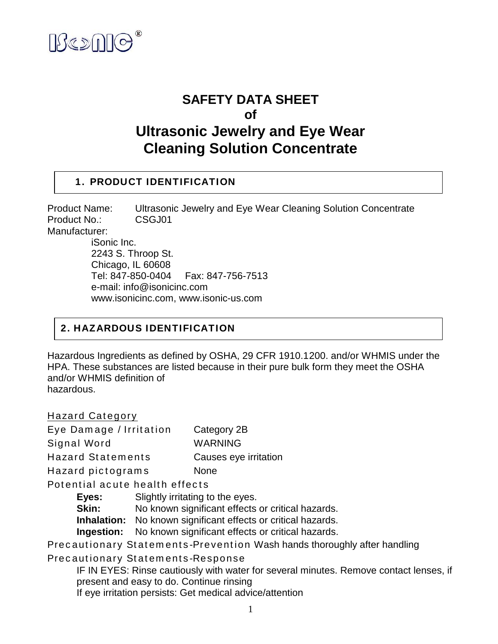

# **SAFETY DATA SHEET of Ultrasonic Jewelry and Eye Wear Cleaning Solution Concentrate**

### **1. PRODUCT IDENTIFICATION**

Product Name: Ultrasonic Jewelry and Eye Wear Cleaning Solution Concentrate Product No.: CSGJ01 Manufacturer: iSonic Inc.

2243 S. Throop St. Chicago, IL 60608 Tel: 847-850-0404 Fax: 847-756-7513 e-mail: info@isonicinc.com www.isonicinc.com, www.isonic-us.com

### **2. HAZARDOUS IDENTIFICATION**

Hazardous Ingredients as defined by OSHA, 29 CFR 1910.1200. and/or WHMIS under the HPA. These substances are listed because in their pure bulk form they meet the OSHA and/or WHMIS definition of hazardous.

Hazard Category Eye Damage / Irritation Category 2B Signal Word WARNING Hazard Statements Causes eye irritation Hazard pictograms None Potential acute health effects **Eyes:** Slightly irritating to the eyes. **Skin:** No known significant effects or critical hazards. **Inhalation:** No known significant effects or critical hazards. **Ingestion:** No known significant effects or critical hazards. Precautionary Statements-Prevention Wash hands thoroughly after handling Precautionary Statements-Response

IF IN EYES: Rinse cautiously with water for several minutes. Remove contact lenses, if present and easy to do. Continue rinsing If eye irritation persists: Get medical advice/attention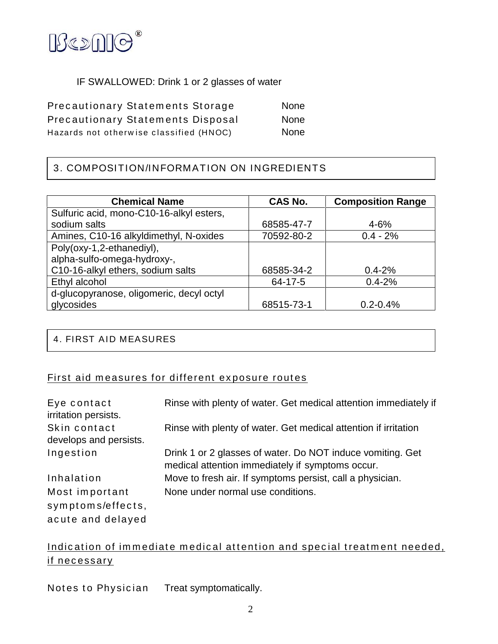

### IF SWALLOWED: Drink 1 or 2 glasses of water

Precautionary Statements Storage None Precautionary Statements Disposal None Hazards not otherwise classified (HNOC) None

# 3. COMPOSITION/INFORMATION ON INGREDIENTS

| <b>Chemical Name</b>                     | <b>CAS No.</b> | <b>Composition Range</b> |
|------------------------------------------|----------------|--------------------------|
| Sulfuric acid, mono-C10-16-alkyl esters, |                |                          |
| sodium salts                             | 68585-47-7     | $4 - 6%$                 |
| Amines, C10-16 alkyldimethyl, N-oxides   | 70592-80-2     | $0.4 - 2%$               |
| Poly(oxy-1,2-ethanediyl),                |                |                          |
| alpha-sulfo-omega-hydroxy-,              |                |                          |
| C10-16-alkyl ethers, sodium salts        | 68585-34-2     | $0.4 - 2\%$              |
| Ethyl alcohol                            | 64-17-5        | $0.4 - 2%$               |
| d-glucopyranose, oligomeric, decyl octyl |                |                          |
| glycosides                               | 68515-73-1     | $0.2 - 0.4%$             |

### 4. FIRST AID MEASURES

# First aid measures for different exposure routes

| Eye contact<br>irritation persists.    | Rinse with plenty of water. Get medical attention immediately if                                               |
|----------------------------------------|----------------------------------------------------------------------------------------------------------------|
| Skin contact<br>develops and persists. | Rinse with plenty of water. Get medical attention if irritation                                                |
| Ingestion                              | Drink 1 or 2 glasses of water. Do NOT induce vomiting. Get<br>medical attention immediately if symptoms occur. |
| Inhalation                             | Move to fresh air. If symptoms persist, call a physician.                                                      |
| Most important                         | None under normal use conditions.                                                                              |
| symptoms/effects,                      |                                                                                                                |
| acute and delayed                      |                                                                                                                |

# Indication of immediate medical attention and special treatment needed, if necessary

Notes to Physician Treat symptomatically.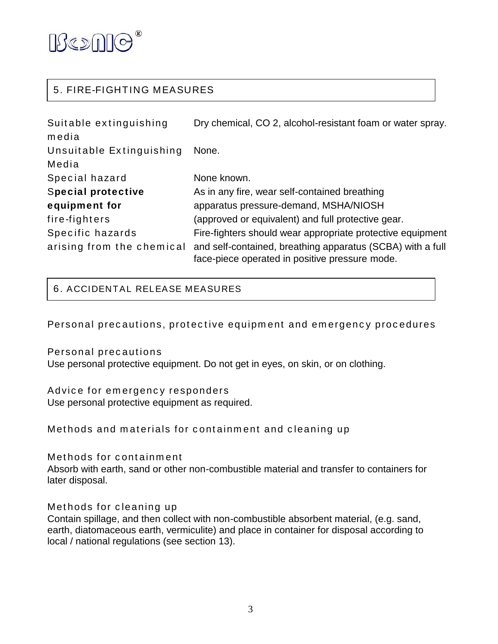

## 5. FIRE-FIGHTING MEASURES

| Suitable extinguishing    | Dry chemical, CO 2, alcohol-resistant foam or water spray.                                                   |
|---------------------------|--------------------------------------------------------------------------------------------------------------|
| media                     |                                                                                                              |
| Unsuitable Extinguishing  | None.                                                                                                        |
| Media                     |                                                                                                              |
| Special hazard            | None known.                                                                                                  |
| <b>Special protective</b> | As in any fire, wear self-contained breathing                                                                |
| equipment for             | apparatus pressure-demand, MSHA/NIOSH                                                                        |
| fire-fighters             | (approved or equivalent) and full protective gear.                                                           |
| Specific hazards          | Fire-fighters should wear appropriate protective equipment                                                   |
| arising from the chemical | and self-contained, breathing apparatus (SCBA) with a full<br>face-piece operated in positive pressure mode. |

6. ACCIDENTAL RELEASE MEASURES

Personal precautions, protective equipment and emergency procedures

Personal precautions

Use personal protective equipment. Do not get in eyes, on skin, or on clothing.

Advice for emergency responders Use personal protective equipment as required.

Methods and materials for containment and cleaning up

Methods for containment

Absorb with earth, sand or other non-combustible material and transfer to containers for later disposal.

Methods for cleaning up

Contain spillage, and then collect with non-combustible absorbent material, (e.g. sand, earth, diatomaceous earth, vermiculite) and place in container for disposal according to local / national regulations (see section 13).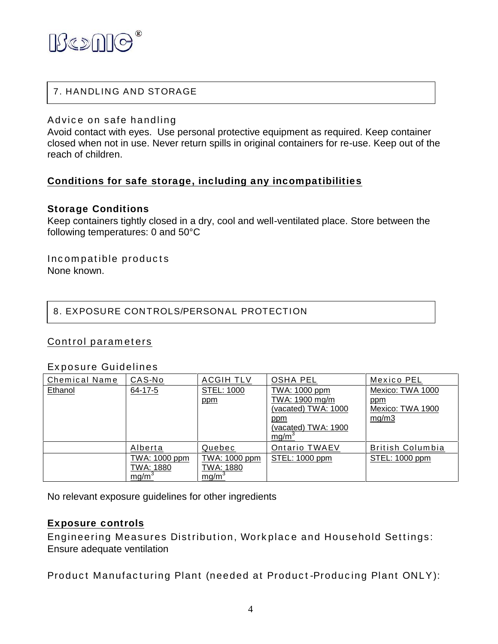

# 7. HANDLING AND STORAGE

### Advice on safe handling

Avoid contact with eyes. Use personal protective equipment as required. Keep container closed when not in use. Never return spills in original containers for re-use. Keep out of the reach of children.

### **Conditions for safe storage, including any incompatibilities**

### **Storage Conditions**

Keep containers tightly closed in a dry, cool and well-ventilated place. Store between the following temperatures: 0 and 50°C

Incompatible products None known.

### 8. EXPOSURE CONTROLS/PERSONAL PROTECTION

### Control parameters

#### Exposure Guidelines

| <b>Chemical Name</b> | CAS-No            | <b>ACGIH TLV</b>  | OSHA PEL            | Mexico PEL       |
|----------------------|-------------------|-------------------|---------------------|------------------|
| Ethanol              | 64-17-5           | STEL: 1000        | TWA: 1000 ppm       | Mexico: TWA 1000 |
|                      |                   | ppm               | TWA: 1900 mg/m      | ppm              |
|                      |                   |                   | (vacated) TWA: 1000 | Mexico: TWA 1900 |
|                      |                   |                   | ppm                 | mg/m3            |
|                      |                   |                   | (vacated) TWA: 1900 |                  |
|                      |                   |                   | mg/m <sup>3</sup>   |                  |
|                      | Alberta           | Quebec            | Ontario TWAEV       | British Columbia |
|                      | TWA: 1000 ppm     | TWA: 1000 ppm     | STEL: 1000 ppm      | STEL: 1000 ppm   |
|                      | TWA: 1880         | TWA: 1880         |                     |                  |
|                      | mg/m <sup>3</sup> | mg/m <sup>3</sup> |                     |                  |

No relevant exposure guidelines for other ingredients

#### **Exposure controls**

Engineering Measures Distribution, Workplace and Household Settings: Ensure adequate ventilation

Product Manufacturing Plant (needed at Product-Producing Plant ONLY):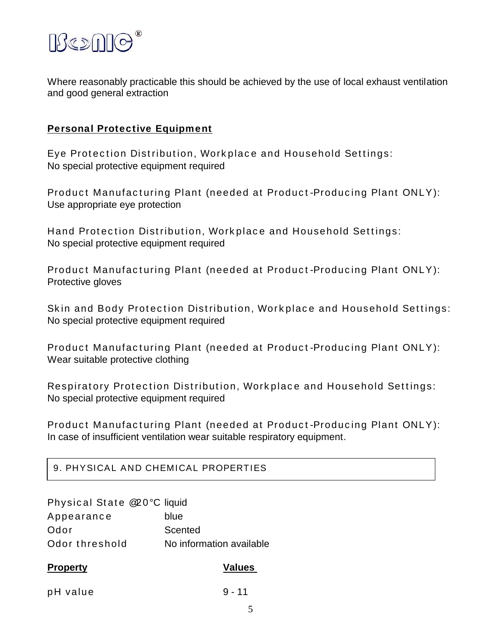

Where reasonably practicable this should be achieved by the use of local exhaust ventilation and good general extraction

### **Personal Protective Equipment**

Eye Protection Distribution, Workplace and Household Settings: No special protective equipment required

Product Manufacturing Plant (needed at Product-Producing Plant ONLY): Use appropriate eye protection

Hand Protection Distribution, Workplace and Household Settings: No special protective equipment required

Product Manufacturing Plant (needed at Product-Producing Plant ONLY): Protective gloves

Skin and Body Protection Distribution, Workplace and Household Settings: No special protective equipment required

Product Manufacturing Plant (needed at Product-Producing Plant ONLY): Wear suitable protective clothing

Respiratory Protection Distribution, Workplace and Household Settings: No special protective equipment required

Product Manufacturing Plant (needed at Product-Producing Plant ONLY): In case of insufficient ventilation wear suitable respiratory equipment.

### 9. PHYSICAL AND CHEMICAL PROPERTIES

| <b>Property</b>             | <b>Values</b>            |
|-----------------------------|--------------------------|
| Odor threshold              | No information available |
| Odor                        | Scented                  |
| Appearance                  | blue                     |
| Physical State @20°C liquid |                          |

pH value 9 - 11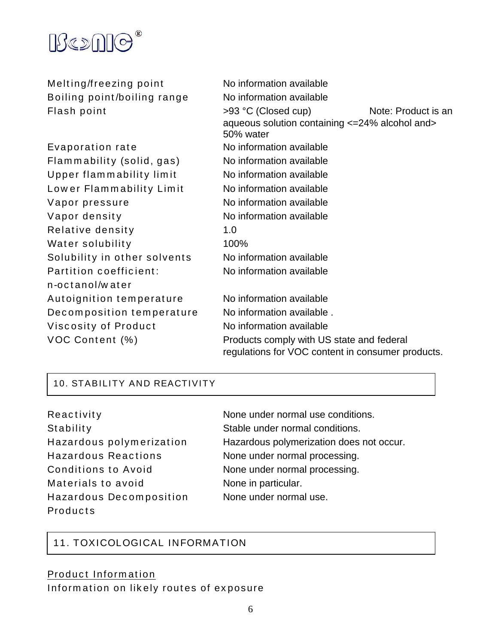

| Melting/freezing point       | No information available                                                                       |
|------------------------------|------------------------------------------------------------------------------------------------|
| Boiling point/boiling range  | No information available                                                                       |
| Flash point                  | >93 °C (Closed cup)<br>Note: Product is an                                                     |
|                              | aqueous solution containing <= 24% alcohol and><br>50% water                                   |
| Evaporation rate             | No information available                                                                       |
| Flammability (solid, gas)    | No information available                                                                       |
| Upper flammability limit     | No information available                                                                       |
| Lower Flammability Limit     | No information available                                                                       |
| Vapor pressure               | No information available                                                                       |
| Vapor density                | No information available                                                                       |
| Relative density             | 1.0                                                                                            |
| Water solubility             | 100%                                                                                           |
| Solubility in other solvents | No information available                                                                       |
| Partition coefficient:       | No information available                                                                       |
| n-octanol/water              |                                                                                                |
| Autoignition temperature     | No information available                                                                       |
| Decomposition temperature    | No information available.                                                                      |
| Viscosity of Product         | No information available                                                                       |
| VOC Content (%)              | Products comply with US state and federal<br>regulations for VOC content in consumer products. |

### 10. STABILITY AND REACTIVITY

| Reactivity                 |
|----------------------------|
| Stability                  |
| Hazardous polymerization   |
| <b>Hazardous Reactions</b> |
| Conditions to Avoid        |
| Materials to avoid         |
| Hazardous Decomposition    |
| Products                   |

None under normal use conditions. Stable under normal conditions. Hazardous polymerization does not occur. None under normal processing. None under normal processing. None in particular. None under normal use.

# 11. TOXICOLOGICAL INFORMATION

# Product Information

Information on likely routes of exposure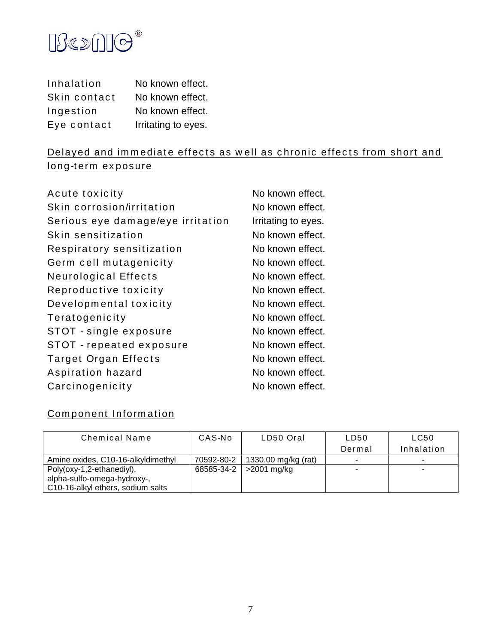

| Inhalation   | No known effect.    |
|--------------|---------------------|
| Skin contact | No known effect.    |
| Ingestion    | No known effect.    |
| Eye contact  | Irritating to eyes. |

# Delayed and immediate effects as well as chronic effects from short and long-term exposure

| Acute toxicity                    | No known effect.    |
|-----------------------------------|---------------------|
| Skin corrosion/irritation         | No known effect.    |
| Serious eye damage/eye irritation | Irritating to eyes. |
| Skin sensitization                | No known effect.    |
| Respiratory sensitization         | No known effect.    |
| Germ cell mutagenicity            | No known effect.    |
| <b>Neurological Effects</b>       | No known effect.    |
| Reproductive toxicity             | No known effect.    |
| Developmental toxicity            | No known effect.    |
| Teratogenicity                    | No known effect.    |
| STOT - single exposure            | No known effect.    |
| STOT - repeated exposure          | No known effect.    |
| Target Organ Effects              | No known effect.    |
| Aspiration hazard                 | No known effect.    |
| Carcinogenicity                   | No known effect.    |
|                                   |                     |

# Component Information

| Chemical Name                                            | CAS-No     | LD50 Oral           | LD50   | LC50       |
|----------------------------------------------------------|------------|---------------------|--------|------------|
|                                                          |            |                     | Dermal | Inhalation |
| Amine oxides, C10-16-alkyldimethyl                       | 70592-80-2 | 1330.00 mg/kg (rat) |        | ۰          |
| Poly(oxy-1,2-ethanediyl),<br>alpha-sulfo-omega-hydroxy-, | 68585-34-2 | >2001 mg/kg         |        | -          |
| C10-16-alkyl ethers, sodium salts                        |            |                     |        |            |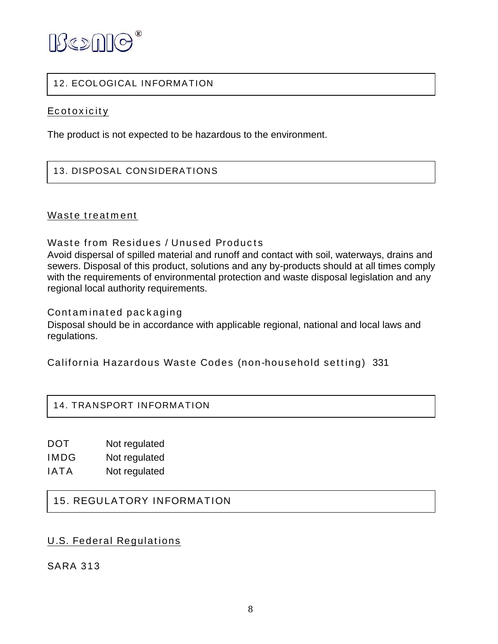

### 12. ECOLOGICAL INFORMATION

### **Ecotoxicity**

The product is not expected to be hazardous to the environment.

### 13. DISPOSAL CONSIDERATIONS

### Waste treatment

Waste from Residues / Unused Products

Avoid dispersal of spilled material and runoff and contact with soil, waterways, drains and sewers. Disposal of this product, solutions and any by-products should at all times comply with the requirements of environmental protection and waste disposal legislation and any regional local authority requirements.

Contaminated packaging

Disposal should be in accordance with applicable regional, national and local laws and regulations.

California Hazardous Waste Codes (non-household setting) 331

### 14. TRANSPORT INFORMATION

DOT Not regulated

- IMDG Not regulated
- IATA Not regulated

### 15. REGULATORY INFORMATION

### U.S. Federal Regulations

SARA 313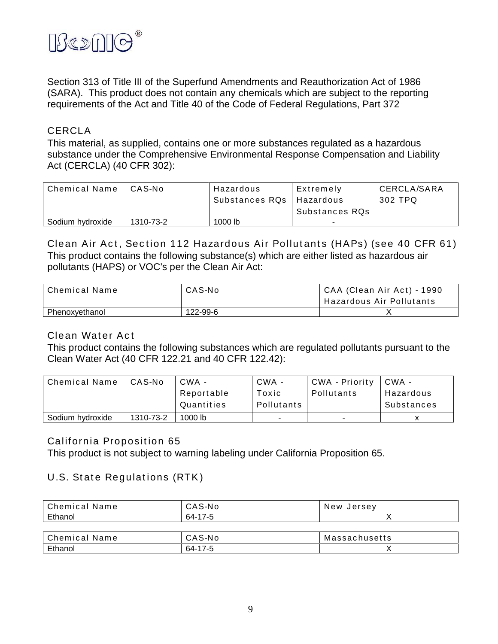

Section 313 of Title III of the Superfund Amendments and Reauthorization Act of 1986 (SARA). This product does not contain any chemicals which are subject to the reporting requirements of the Act and Title 40 of the Code of Federal Regulations, Part 372

### **CERCLA**

This material, as supplied, contains one or more substances regulated as a hazardous substance under the Comprehensive Environmental Response Compensation and Liability Act (CERCLA) (40 CFR 302):

| Chemical Name    | CAS-No    | Hazardous      | Extremely      | CERCLA/SARA |
|------------------|-----------|----------------|----------------|-------------|
|                  |           | Substances RQs | Hazardous      | 302 TPQ     |
|                  |           |                | Substances RQs |             |
| Sodium hydroxide | 1310-73-2 | $1000$ lb      | -              |             |

Clean Air Act, Section 112 Hazardous Air Pollutants (HAPs) (see 40 CFR 61) This product contains the following substance(s) which are either listed as hazardous air pollutants (HAPS) or VOC's per the Clean Air Act:

| Chemical Name  | CAS-No   | CAA (Clean Air Act) - 1990 |
|----------------|----------|----------------------------|
|                |          | Hazardous Air Pollutants   |
| Phenoxvethanol | 122-99-6 |                            |

### Clean Water Act

This product contains the following substances which are regulated pollutants pursuant to the Clean Water Act (40 CFR 122.21 and 40 CFR 122.42):

| <b>Chemical Name</b> | CAS-No    | $CWA -$    | CWA -      | CWA - Priority           | CWA-       |
|----------------------|-----------|------------|------------|--------------------------|------------|
|                      |           | Reportable | Toxic      | Pollutants               | Hazardous  |
|                      |           | Quantities | Pollutants |                          | Substances |
| Sodium hydroxide     | 1310-73-2 | $1000$ lb  |            | $\overline{\phantom{a}}$ |            |

### California Proposition 65

This product is not subject to warning labeling under California Proposition 65.

### U.S. State Regulations (RTK)

| Chemical Name | CAS-No  | New Jersev    |  |
|---------------|---------|---------------|--|
| Ethanol       | 64-17-5 |               |  |
|               |         |               |  |
| Chemical Name | CAS-No  | Massachusetts |  |
| Ethanol       | 64-17-5 |               |  |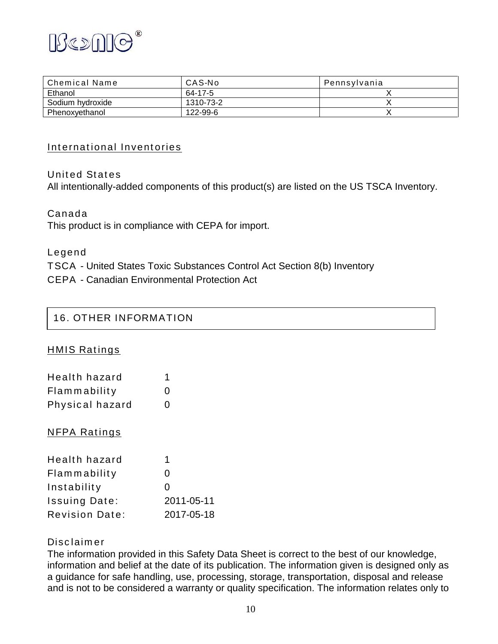

| Chemical Name    | CAS-No    | Pennsylvania |
|------------------|-----------|--------------|
| Ethanol          | 64-17-5   |              |
| Sodium hydroxide | 1310-73-2 |              |
| Phenoxvethanol   | 122-99-6  |              |

### International Inventories

### United States

All intentionally-added components of this product(s) are listed on the US TSCA Inventory.

Canada This product is in compliance with CEPA for import.

Legend

TSCA - United States Toxic Substances Control Act Section 8(b) Inventory

CEPA - Canadian Environmental Protection Act

## 16. OTHER INFORMATION

HMIS Ratings

| Health hazard   |                   |
|-----------------|-------------------|
| Flammability    | $\mathbf{\Omega}$ |
| Physical hazard | $\mathbf{\Omega}$ |

### NFPA Ratings

| Health hazard         | 1            |
|-----------------------|--------------|
| Flammability          | $\mathbf{0}$ |
| Instability           | $\mathbf{0}$ |
| <b>Issuing Date:</b>  | 2011-05-11   |
| <b>Revision Date:</b> | 2017-05-18   |

### Disclaimer

The information provided in this Safety Data Sheet is correct to the best of our knowledge, information and belief at the date of its publication. The information given is designed only as a guidance for safe handling, use, processing, storage, transportation, disposal and release and is not to be considered a warranty or quality specification. The information relates only to